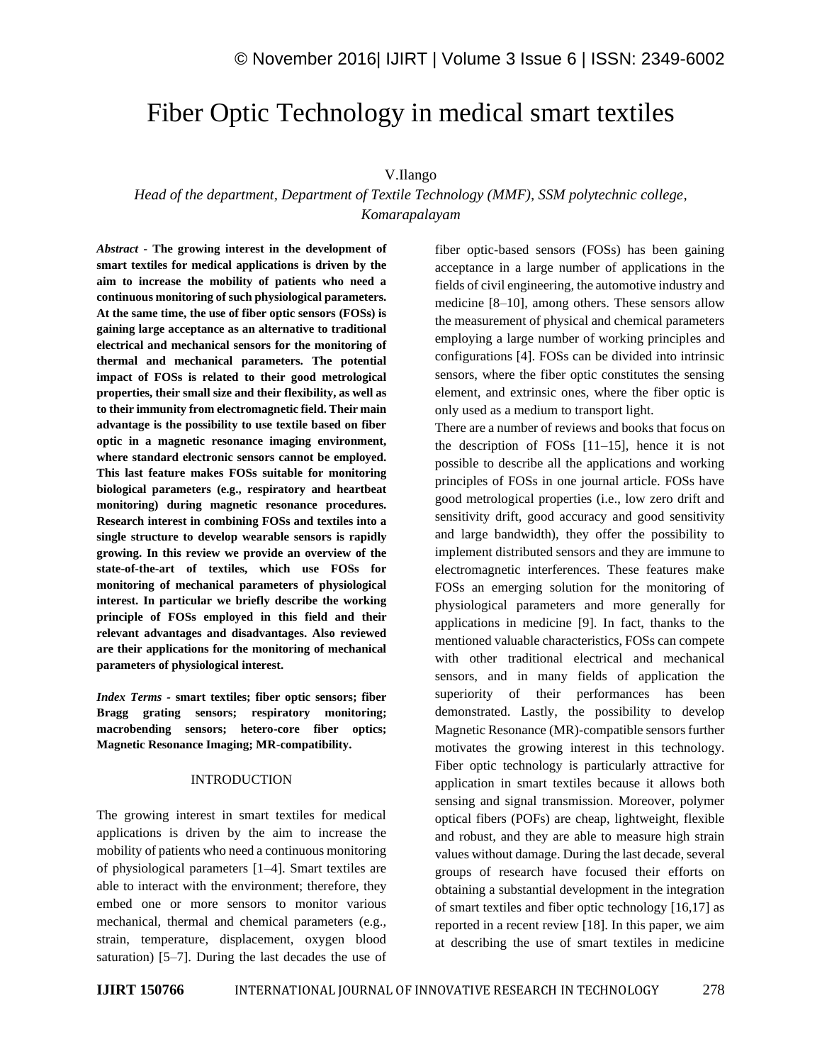# Fiber Optic Technology in medical smart textiles

## V.Ilango

*Head of the department, Department of Textile Technology (MMF), SSM polytechnic college, Komarapalayam*

*Abstract -* **The growing interest in the development of smart textiles for medical applications is driven by the aim to increase the mobility of patients who need a continuous monitoring of such physiological parameters. At the same time, the use of fiber optic sensors (FOSs) is gaining large acceptance as an alternative to traditional electrical and mechanical sensors for the monitoring of thermal and mechanical parameters. The potential impact of FOSs is related to their good metrological properties, their small size and their flexibility, as well as to their immunity from electromagnetic field. Their main advantage is the possibility to use textile based on fiber optic in a magnetic resonance imaging environment, where standard electronic sensors cannot be employed. This last feature makes FOSs suitable for monitoring biological parameters (e.g., respiratory and heartbeat monitoring) during magnetic resonance procedures. Research interest in combining FOSs and textiles into a single structure to develop wearable sensors is rapidly growing. In this review we provide an overview of the state-of-the-art of textiles, which use FOSs for monitoring of mechanical parameters of physiological interest. In particular we briefly describe the working principle of FOSs employed in this field and their relevant advantages and disadvantages. Also reviewed are their applications for the monitoring of mechanical parameters of physiological interest.**

*Index Terms -* **smart textiles; fiber optic sensors; fiber Bragg grating sensors; respiratory monitoring; macrobending sensors; hetero-core fiber optics; Magnetic Resonance Imaging; MR-compatibility.**

#### INTRODUCTION

The growing interest in smart textiles for medical applications is driven by the aim to increase the mobility of patients who need a continuous monitoring of physiological parameters [1–4]. Smart textiles are able to interact with the environment; therefore, they embed one or more sensors to monitor various mechanical, thermal and chemical parameters (e.g., strain, temperature, displacement, oxygen blood saturation) [5–7]. During the last decades the use of fiber optic-based sensors (FOSs) has been gaining acceptance in a large number of applications in the fields of civil engineering, the automotive industry and medicine [8–10], among others. These sensors allow the measurement of physical and chemical parameters employing a large number of working principles and configurations [4]. FOSs can be divided into intrinsic sensors, where the fiber optic constitutes the sensing element, and extrinsic ones, where the fiber optic is only used as a medium to transport light.

There are a number of reviews and books that focus on the description of FOSs [11–15], hence it is not possible to describe all the applications and working principles of FOSs in one journal article. FOSs have good metrological properties (i.e., low zero drift and sensitivity drift, good accuracy and good sensitivity and large bandwidth), they offer the possibility to implement distributed sensors and they are immune to electromagnetic interferences. These features make FOSs an emerging solution for the monitoring of physiological parameters and more generally for applications in medicine [9]. In fact, thanks to the mentioned valuable characteristics, FOSs can compete with other traditional electrical and mechanical sensors, and in many fields of application the superiority of their performances has been demonstrated. Lastly, the possibility to develop Magnetic Resonance (MR)-compatible sensors further motivates the growing interest in this technology. Fiber optic technology is particularly attractive for application in smart textiles because it allows both sensing and signal transmission. Moreover, polymer optical fibers (POFs) are cheap, lightweight, flexible and robust, and they are able to measure high strain values without damage. During the last decade, several groups of research have focused their efforts on obtaining a substantial development in the integration of smart textiles and fiber optic technology [16,17] as reported in a recent review [18]. In this paper, we aim at describing the use of smart textiles in medicine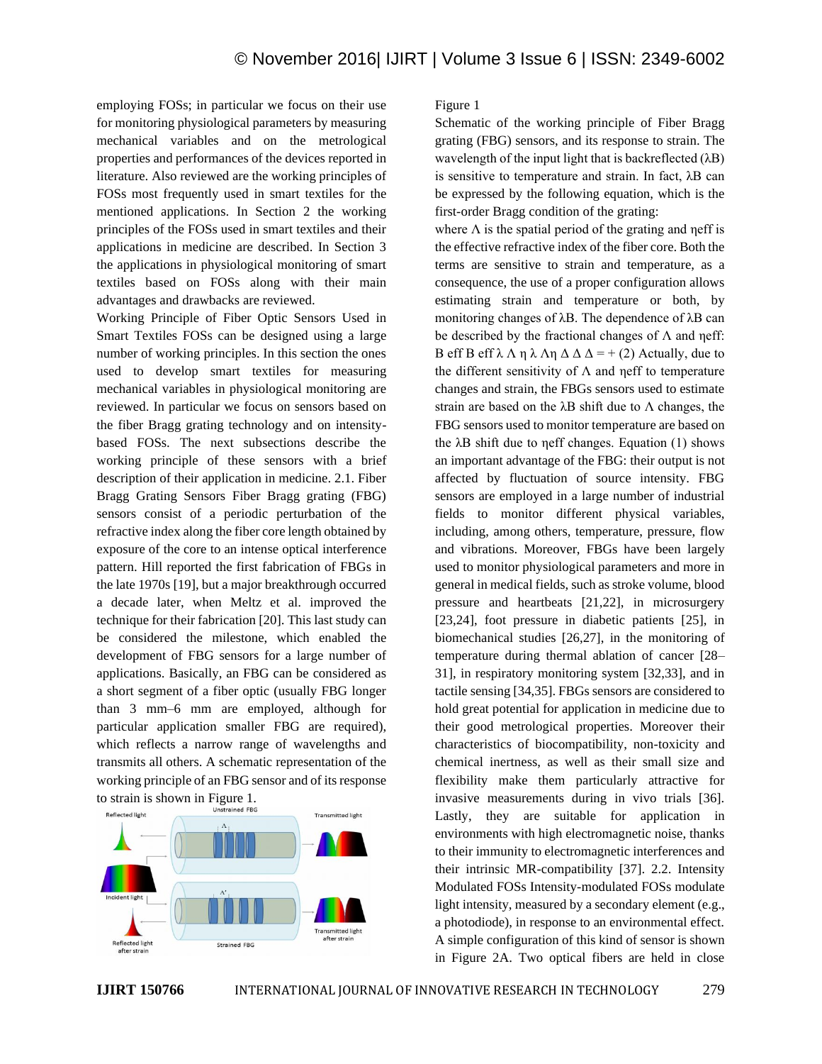employing FOSs; in particular we focus on their use for monitoring physiological parameters by measuring mechanical variables and on the metrological properties and performances of the devices reported in literature. Also reviewed are the working principles of FOSs most frequently used in smart textiles for the mentioned applications. In Section 2 the working principles of the FOSs used in smart textiles and their applications in medicine are described. In Section 3 the applications in physiological monitoring of smart textiles based on FOSs along with their main advantages and drawbacks are reviewed.

Working Principle of Fiber Optic Sensors Used in Smart Textiles FOSs can be designed using a large number of working principles. In this section the ones used to develop smart textiles for measuring mechanical variables in physiological monitoring are reviewed. In particular we focus on sensors based on the fiber Bragg grating technology and on intensitybased FOSs. The next subsections describe the working principle of these sensors with a brief description of their application in medicine. 2.1. Fiber Bragg Grating Sensors Fiber Bragg grating (FBG) sensors consist of a periodic perturbation of the refractive index along the fiber core length obtained by exposure of the core to an intense optical interference pattern. Hill reported the first fabrication of FBGs in the late 1970s [19], but a major breakthrough occurred a decade later, when Meltz et al. improved the technique for their fabrication [20]. This last study can be considered the milestone, which enabled the development of FBG sensors for a large number of applications. Basically, an FBG can be considered as a short segment of a fiber optic (usually FBG longer than 3 mm–6 mm are employed, although for particular application smaller FBG are required), which reflects a narrow range of wavelengths and transmits all others. A schematic representation of the working principle of an FBG sensor and of its response to strain is shown in Figure 1.



#### Figure 1

Schematic of the working principle of Fiber Bragg grating (FBG) sensors, and its response to strain. The wavelength of the input light that is backreflected (λB) is sensitive to temperature and strain. In fact, λB can be expressed by the following equation, which is the first-order Bragg condition of the grating:

where  $\Lambda$  is the spatial period of the grating and neff is the effective refractive index of the fiber core. Both the terms are sensitive to strain and temperature, as a consequence, the use of a proper configuration allows estimating strain and temperature or both, by monitoring changes of λB. The dependence of λB can be described by the fractional changes of  $\Lambda$  and neff: B eff B eff  $\lambda \wedge \eta \lambda \wedge \eta \wedge \Delta \Delta = + (2)$  Actually, due to the different sensitivity of  $\Lambda$  and neff to temperature changes and strain, the FBGs sensors used to estimate strain are based on the  $\lambda$ B shift due to  $\Lambda$  changes, the FBG sensors used to monitor temperature are based on the  $\lambda$ B shift due to neff changes. Equation (1) shows an important advantage of the FBG: their output is not affected by fluctuation of source intensity. FBG sensors are employed in a large number of industrial fields to monitor different physical variables, including, among others, temperature, pressure, flow and vibrations. Moreover, FBGs have been largely used to monitor physiological parameters and more in general in medical fields, such as stroke volume, blood pressure and heartbeats [21,22], in microsurgery [23,24], foot pressure in diabetic patients [25], in biomechanical studies [26,27], in the monitoring of temperature during thermal ablation of cancer [28– 31], in respiratory monitoring system [32,33], and in tactile sensing [34,35]. FBGs sensors are considered to hold great potential for application in medicine due to their good metrological properties. Moreover their characteristics of biocompatibility, non-toxicity and chemical inertness, as well as their small size and flexibility make them particularly attractive for invasive measurements during in vivo trials [36]. Lastly, they are suitable for application in environments with high electromagnetic noise, thanks to their immunity to electromagnetic interferences and their intrinsic MR-compatibility [37]. 2.2. Intensity Modulated FOSs Intensity-modulated FOSs modulate light intensity, measured by a secondary element (e.g., a photodiode), in response to an environmental effect. A simple configuration of this kind of sensor is shown in Figure 2A. Two optical fibers are held in close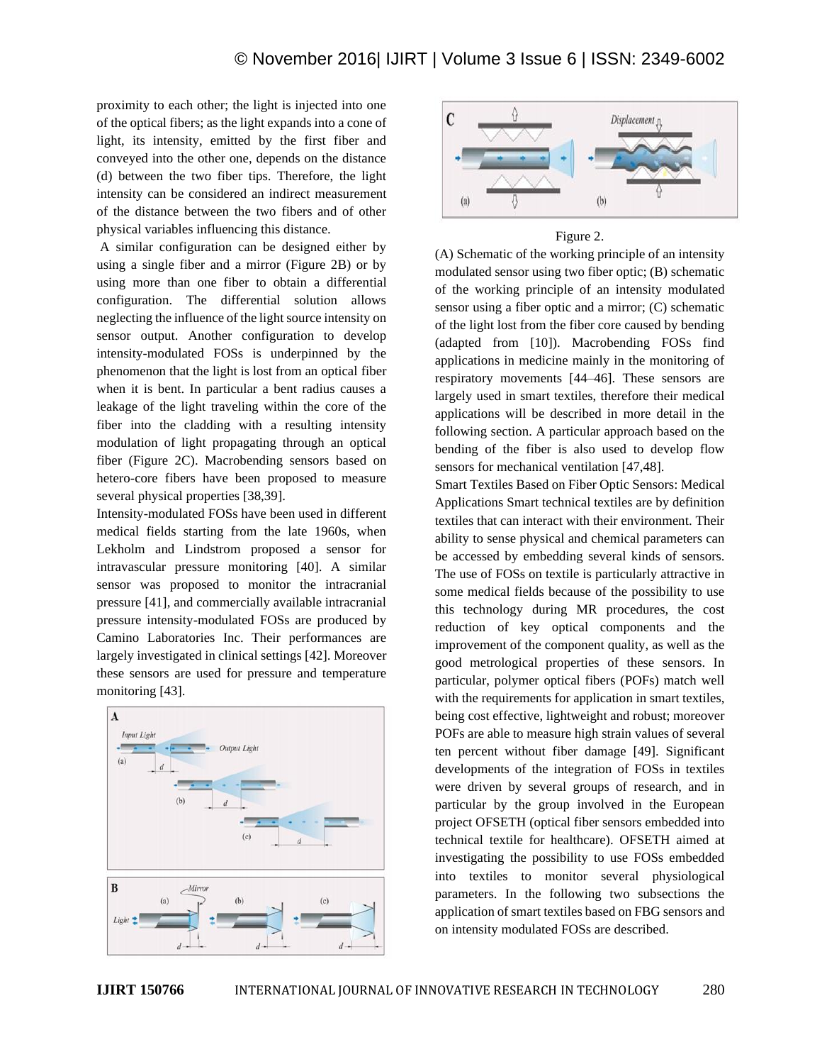proximity to each other; the light is injected into one of the optical fibers; as the light expands into a cone of light, its intensity, emitted by the first fiber and conveyed into the other one, depends on the distance (d) between the two fiber tips. Therefore, the light intensity can be considered an indirect measurement of the distance between the two fibers and of other physical variables influencing this distance.

A similar configuration can be designed either by using a single fiber and a mirror (Figure 2B) or by using more than one fiber to obtain a differential configuration. The differential solution allows neglecting the influence of the light source intensity on sensor output. Another configuration to develop intensity-modulated FOSs is underpinned by the phenomenon that the light is lost from an optical fiber when it is bent. In particular a bent radius causes a leakage of the light traveling within the core of the fiber into the cladding with a resulting intensity modulation of light propagating through an optical fiber (Figure 2C). Macrobending sensors based on hetero-core fibers have been proposed to measure several physical properties [38,39].

Intensity-modulated FOSs have been used in different medical fields starting from the late 1960s, when Lekholm and Lindstrom proposed a sensor for intravascular pressure monitoring [40]. A similar sensor was proposed to monitor the intracranial pressure [41], and commercially available intracranial pressure intensity-modulated FOSs are produced by Camino Laboratories Inc. Their performances are largely investigated in clinical settings [42]. Moreover these sensors are used for pressure and temperature monitoring [43].





## Figure 2.

(A) Schematic of the working principle of an intensity modulated sensor using two fiber optic; (B) schematic of the working principle of an intensity modulated sensor using a fiber optic and a mirror; (C) schematic of the light lost from the fiber core caused by bending (adapted from [10]). Macrobending FOSs find applications in medicine mainly in the monitoring of respiratory movements [44–46]. These sensors are largely used in smart textiles, therefore their medical applications will be described in more detail in the following section. A particular approach based on the bending of the fiber is also used to develop flow sensors for mechanical ventilation [47,48].

Smart Textiles Based on Fiber Optic Sensors: Medical Applications Smart technical textiles are by definition textiles that can interact with their environment. Their ability to sense physical and chemical parameters can be accessed by embedding several kinds of sensors. The use of FOSs on textile is particularly attractive in some medical fields because of the possibility to use this technology during MR procedures, the cost reduction of key optical components and the improvement of the component quality, as well as the good metrological properties of these sensors. In particular, polymer optical fibers (POFs) match well with the requirements for application in smart textiles, being cost effective, lightweight and robust; moreover POFs are able to measure high strain values of several ten percent without fiber damage [49]. Significant developments of the integration of FOSs in textiles were driven by several groups of research, and in particular by the group involved in the European project OFSETH (optical fiber sensors embedded into technical textile for healthcare). OFSETH aimed at investigating the possibility to use FOSs embedded into textiles to monitor several physiological parameters. In the following two subsections the application of smart textiles based on FBG sensors and on intensity modulated FOSs are described.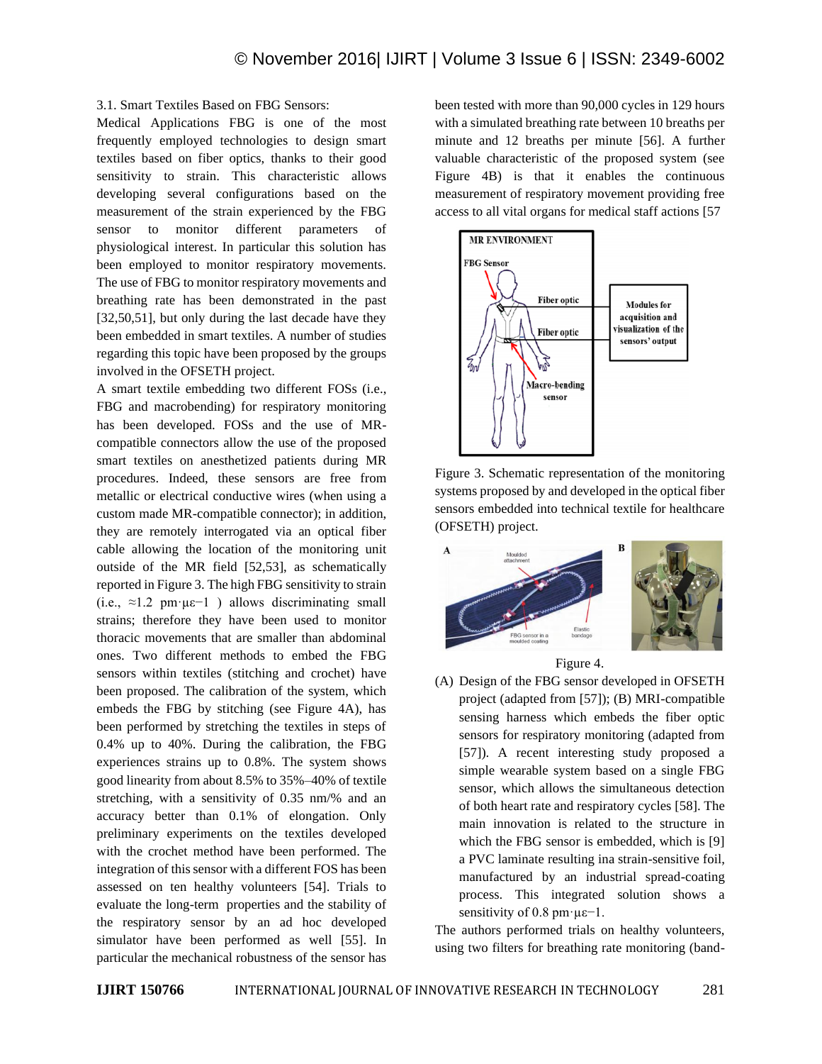## 3.1. Smart Textiles Based on FBG Sensors:

Medical Applications FBG is one of the most frequently employed technologies to design smart textiles based on fiber optics, thanks to their good sensitivity to strain. This characteristic allows developing several configurations based on the measurement of the strain experienced by the FBG sensor to monitor different parameters of physiological interest. In particular this solution has been employed to monitor respiratory movements. The use of FBG to monitor respiratory movements and breathing rate has been demonstrated in the past [32,50,51], but only during the last decade have they been embedded in smart textiles. A number of studies regarding this topic have been proposed by the groups involved in the OFSETH project.

A smart textile embedding two different FOSs (i.e., FBG and macrobending) for respiratory monitoring has been developed. FOSs and the use of MRcompatible connectors allow the use of the proposed smart textiles on anesthetized patients during MR procedures. Indeed, these sensors are free from metallic or electrical conductive wires (when using a custom made MR-compatible connector); in addition, they are remotely interrogated via an optical fiber cable allowing the location of the monitoring unit outside of the MR field [52,53], as schematically reported in Figure 3. The high FBG sensitivity to strain (i.e.,  $\approx$ 1.2 pm· $\mu\epsilon$ -1 ) allows discriminating small strains; therefore they have been used to monitor thoracic movements that are smaller than abdominal ones. Two different methods to embed the FBG sensors within textiles (stitching and crochet) have been proposed. The calibration of the system, which embeds the FBG by stitching (see Figure 4A), has been performed by stretching the textiles in steps of 0.4% up to 40%. During the calibration, the FBG experiences strains up to 0.8%. The system shows good linearity from about 8.5% to 35%–40% of textile stretching, with a sensitivity of 0.35 nm/% and an accuracy better than 0.1% of elongation. Only preliminary experiments on the textiles developed with the crochet method have been performed. The integration of this sensor with a different FOS has been assessed on ten healthy volunteers [54]. Trials to evaluate the long-term properties and the stability of the respiratory sensor by an ad hoc developed simulator have been performed as well [55]. In particular the mechanical robustness of the sensor has

been tested with more than 90,000 cycles in 129 hours with a simulated breathing rate between 10 breaths per minute and 12 breaths per minute [56]. A further valuable characteristic of the proposed system (see Figure 4B) is that it enables the continuous measurement of respiratory movement providing free access to all vital organs for medical staff actions [57



Figure 3. Schematic representation of the monitoring systems proposed by and developed in the optical fiber sensors embedded into technical textile for healthcare (OFSETH) project.





(A) Design of the FBG sensor developed in OFSETH project (adapted from [57]); (B) MRI-compatible sensing harness which embeds the fiber optic sensors for respiratory monitoring (adapted from [57]). A recent interesting study proposed a simple wearable system based on a single FBG sensor, which allows the simultaneous detection of both heart rate and respiratory cycles [58]. The main innovation is related to the structure in which the FBG sensor is embedded, which is [9] a PVC laminate resulting ina strain-sensitive foil, manufactured by an industrial spread-coating process. This integrated solution shows a sensitivity of 0.8 pm·με−1.

The authors performed trials on healthy volunteers, using two filters for breathing rate monitoring (band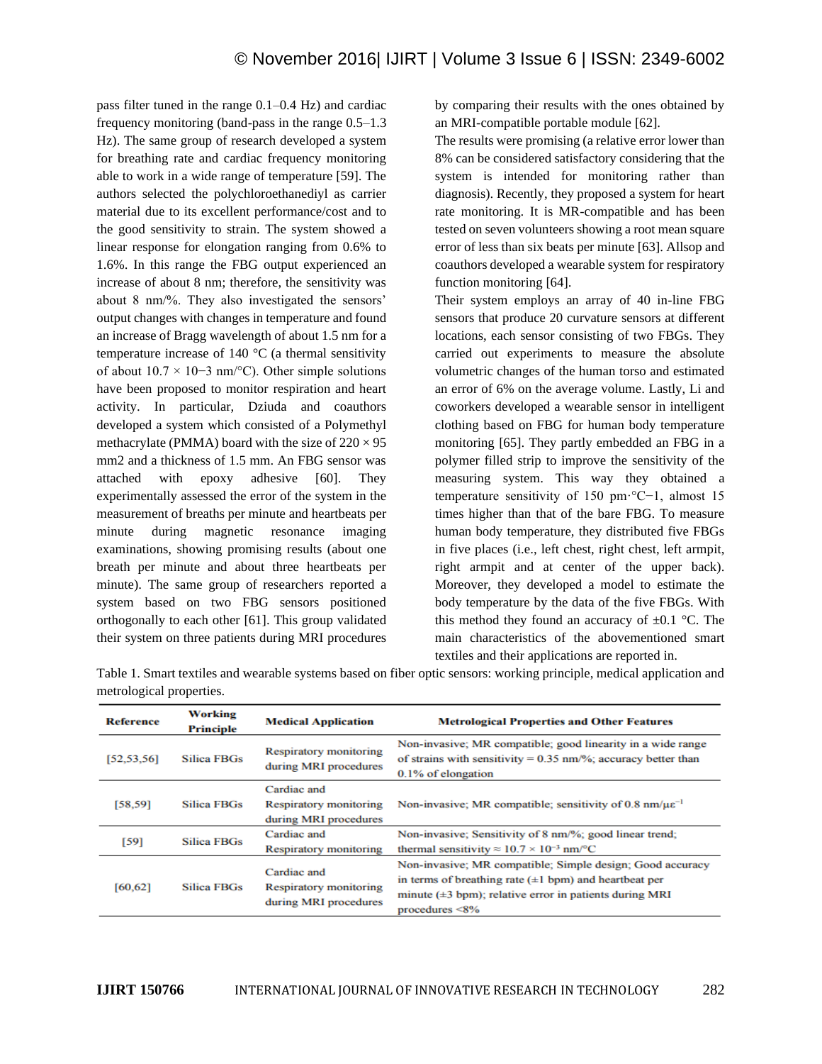pass filter tuned in the range 0.1–0.4 Hz) and cardiac frequency monitoring (band-pass in the range 0.5–1.3 Hz). The same group of research developed a system for breathing rate and cardiac frequency monitoring able to work in a wide range of temperature [59]. The authors selected the polychloroethanediyl as carrier material due to its excellent performance/cost and to the good sensitivity to strain. The system showed a linear response for elongation ranging from 0.6% to 1.6%. In this range the FBG output experienced an increase of about 8 nm; therefore, the sensitivity was about 8 nm/%. They also investigated the sensors' output changes with changes in temperature and found an increase of Bragg wavelength of about 1.5 nm for a temperature increase of 140 °C (a thermal sensitivity of about 10.7 × 10−3 nm/°C). Other simple solutions have been proposed to monitor respiration and heart activity. In particular, Dziuda and coauthors developed a system which consisted of a Polymethyl methacrylate (PMMA) board with the size of  $220 \times 95$ mm2 and a thickness of 1.5 mm. An FBG sensor was attached with epoxy adhesive [60]. They experimentally assessed the error of the system in the measurement of breaths per minute and heartbeats per minute during magnetic resonance imaging examinations, showing promising results (about one breath per minute and about three heartbeats per minute). The same group of researchers reported a system based on two FBG sensors positioned orthogonally to each other [61]. This group validated their system on three patients during MRI procedures by comparing their results with the ones obtained by an MRI-compatible portable module [62].

The results were promising (a relative error lower than 8% can be considered satisfactory considering that the system is intended for monitoring rather than diagnosis). Recently, they proposed a system for heart rate monitoring. It is MR-compatible and has been tested on seven volunteers showing a root mean square error of less than six beats per minute [63]. Allsop and coauthors developed a wearable system for respiratory function monitoring [64].

Their system employs an array of 40 in-line FBG sensors that produce 20 curvature sensors at different locations, each sensor consisting of two FBGs. They carried out experiments to measure the absolute volumetric changes of the human torso and estimated an error of 6% on the average volume. Lastly, Li and coworkers developed a wearable sensor in intelligent clothing based on FBG for human body temperature monitoring [65]. They partly embedded an FBG in a polymer filled strip to improve the sensitivity of the measuring system. This way they obtained a temperature sensitivity of 150 pm·°C−1, almost 15 times higher than that of the bare FBG. To measure human body temperature, they distributed five FBGs in five places (i.e., left chest, right chest, left armpit, right armpit and at center of the upper back). Moreover, they developed a model to estimate the body temperature by the data of the five FBGs. With this method they found an accuracy of  $\pm 0.1$  °C. The main characteristics of the abovementioned smart textiles and their applications are reported in.

| <b>Reference</b> | Working<br>Principle | <b>Medical Application</b>                                            | <b>Metrological Properties and Other Features</b>                                                                                                                                                               |
|------------------|----------------------|-----------------------------------------------------------------------|-----------------------------------------------------------------------------------------------------------------------------------------------------------------------------------------------------------------|
| [52, 53, 56]     | <b>Silica FBGs</b>   | Respiratory monitoring<br>during MRI procedures                       | Non-invasive; MR compatible; good linearity in a wide range<br>of strains with sensitivity = $0.35$ nm/%; accuracy better than<br>0.1% of elongation                                                            |
| [58,59]          | <b>Silica FBGs</b>   | Cardiac and<br><b>Respiratory monitoring</b><br>during MRI procedures | Non-invasive; MR compatible; sensitivity of 0.8 $nm/με^{-1}$                                                                                                                                                    |
| [59]             | <b>Silica FBGs</b>   | Cardiac and<br><b>Respiratory monitoring</b>                          | Non-invasive; Sensitivity of 8 nm/%; good linear trend;<br>thermal sensitivity $\approx 10.7 \times 10^{-3}$ nm/°C                                                                                              |
| [60, 62]         | <b>Silica FBGs</b>   | Cardiac and<br>Respiratory monitoring<br>during MRI procedures        | Non-invasive; MR compatible; Simple design; Good accuracy<br>in terms of breathing rate $(\pm 1$ bpm) and heartbeat per<br>minute $(\pm 3$ bpm); relative error in patients during MRI<br>procedures $\leq 8\%$ |

Table 1. Smart textiles and wearable systems based on fiber optic sensors: working principle, medical application and metrological properties.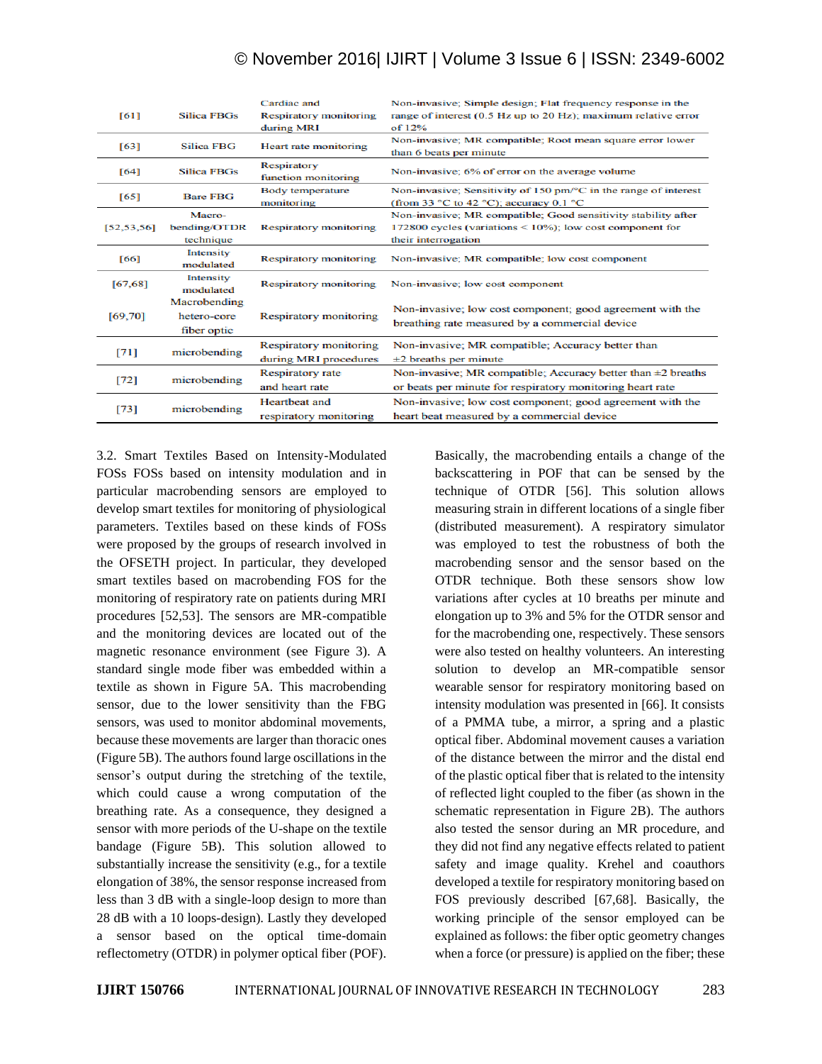# © November 2016| IJIRT | Volume 3 Issue 6 | ISSN: 2349-6002

| [61]         | <b>Silica FBGs</b> | Cardiac and                   | Non-invasive; Simple design; Flat frequency response in the                            |
|--------------|--------------------|-------------------------------|----------------------------------------------------------------------------------------|
|              |                    | <b>Respiratory monitoring</b> | range of interest (0.5 Hz up to 20 Hz); maximum relative error                         |
|              |                    | during MRI                    | of 12%                                                                                 |
| [63]         | <b>Silica FBG</b>  | Heart rate monitoring         | Non-invasive; MR compatible; Root mean square error lower                              |
|              |                    |                               | than 6 beats per minute                                                                |
| [64]         | <b>Silica FBGs</b> | Respiratory                   | Non-invasive; 6% of error on the average volume                                        |
|              |                    | function monitoring           |                                                                                        |
| [65]         | <b>Bare FBG</b>    | <b>Body temperature</b>       | Non-invasive; Sensitivity of 150 $pm\text{/}^{\circ}\text{C}$ in the range of interest |
|              |                    | monitoring                    | (from 33 $^{\circ}$ C to 42 $^{\circ}$ C); accuracy 0.1 $^{\circ}$ C                   |
| [52, 53, 56] | Macro-             | <b>Respiratory monitoring</b> | Non-invasive: MR compatible: Good sensitivity stability after                          |
|              | bending/OTDR       |                               | 172800 cycles (variations $\leq 10\%$ ); low cost component for                        |
|              | technique          |                               | their interrogation                                                                    |
| [66]         | Intensity          | <b>Respiratory monitoring</b> | Non-invasive; MR compatible; low cost component                                        |
|              | modulated          |                               |                                                                                        |
| [67, 68]     | Intensity          | <b>Respiratory monitoring</b> | Non-invasive; low cost component                                                       |
|              | modulated          |                               |                                                                                        |
| [69,70]      | Macrobending       | <b>Respiratory monitoring</b> |                                                                                        |
|              | hetero-core        |                               | Non-invasive; low cost component; good agreement with the                              |
|              | fiber optic        |                               | breathing rate measured by a commercial device                                         |
|              |                    |                               |                                                                                        |
| [71]         | microbending       | <b>Respiratory monitoring</b> | Non-invasive; MR compatible; Accuracy better than                                      |
|              |                    | during MRI procedures         | $\pm 2$ breaths per minute                                                             |
| [72]         | microbending       | <b>Respiratory rate</b>       | Non-invasive; MR compatible; Accuracy better than ±2 breaths                           |
|              |                    | and heart rate                | or beats per minute for respiratory monitoring heart rate                              |
| [73]         | microbending       | <b>Heartheat and</b>          | Non-invasive; low cost component; good agreement with the                              |
|              |                    | respiratory monitoring        | heart beat measured by a commercial device                                             |
|              |                    |                               |                                                                                        |

3.2. Smart Textiles Based on Intensity-Modulated FOSs FOSs based on intensity modulation and in particular macrobending sensors are employed to develop smart textiles for monitoring of physiological parameters. Textiles based on these kinds of FOSs were proposed by the groups of research involved in the OFSETH project. In particular, they developed smart textiles based on macrobending FOS for the monitoring of respiratory rate on patients during MRI procedures [52,53]. The sensors are MR-compatible and the monitoring devices are located out of the magnetic resonance environment (see Figure 3). A standard single mode fiber was embedded within a textile as shown in Figure 5A. This macrobending sensor, due to the lower sensitivity than the FBG sensors, was used to monitor abdominal movements, because these movements are larger than thoracic ones (Figure 5B). The authors found large oscillations in the sensor's output during the stretching of the textile, which could cause a wrong computation of the breathing rate. As a consequence, they designed a sensor with more periods of the U-shape on the textile bandage (Figure 5B). This solution allowed to substantially increase the sensitivity (e.g., for a textile elongation of 38%, the sensor response increased from less than 3 dB with a single-loop design to more than 28 dB with a 10 loops-design). Lastly they developed a sensor based on the optical time-domain reflectometry (OTDR) in polymer optical fiber (POF). Basically, the macrobending entails a change of the backscattering in POF that can be sensed by the technique of OTDR [56]. This solution allows measuring strain in different locations of a single fiber (distributed measurement). A respiratory simulator was employed to test the robustness of both the macrobending sensor and the sensor based on the OTDR technique. Both these sensors show low variations after cycles at 10 breaths per minute and elongation up to 3% and 5% for the OTDR sensor and for the macrobending one, respectively. These sensors were also tested on healthy volunteers. An interesting solution to develop an MR-compatible sensor wearable sensor for respiratory monitoring based on intensity modulation was presented in [66]. It consists of a PMMA tube, a mirror, a spring and a plastic optical fiber. Abdominal movement causes a variation of the distance between the mirror and the distal end of the plastic optical fiber that is related to the intensity of reflected light coupled to the fiber (as shown in the schematic representation in Figure 2B). The authors also tested the sensor during an MR procedure, and they did not find any negative effects related to patient safety and image quality. Krehel and coauthors developed a textile for respiratory monitoring based on FOS previously described [67,68]. Basically, the working principle of the sensor employed can be explained as follows: the fiber optic geometry changes when a force (or pressure) is applied on the fiber; these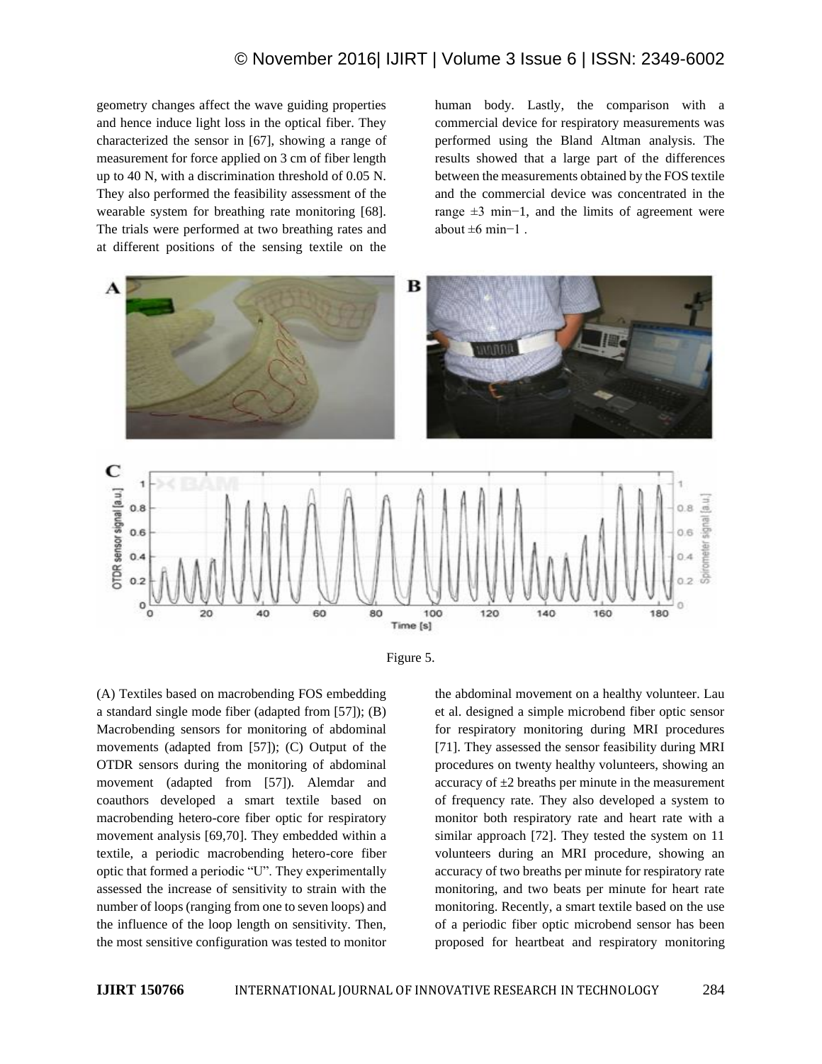geometry changes affect the wave guiding properties and hence induce light loss in the optical fiber. They characterized the sensor in [67], showing a range of measurement for force applied on 3 cm of fiber length up to 40 N, with a discrimination threshold of 0.05 N. They also performed the feasibility assessment of the wearable system for breathing rate monitoring [68]. The trials were performed at two breathing rates and at different positions of the sensing textile on the human body. Lastly, the comparison with a commercial device for respiratory measurements was performed using the Bland Altman analysis. The results showed that a large part of the differences between the measurements obtained by the FOS textile and the commercial device was concentrated in the range ±3 min−1, and the limits of agreement were about ±6 min−1 .





(A) Textiles based on macrobending FOS embedding a standard single mode fiber (adapted from [57]); (B) Macrobending sensors for monitoring of abdominal movements (adapted from [57]); (C) Output of the OTDR sensors during the monitoring of abdominal movement (adapted from [57]). Alemdar and coauthors developed a smart textile based on macrobending hetero-core fiber optic for respiratory movement analysis [69,70]. They embedded within a textile, a periodic macrobending hetero-core fiber optic that formed a periodic "U". They experimentally assessed the increase of sensitivity to strain with the number of loops (ranging from one to seven loops) and the influence of the loop length on sensitivity. Then, the most sensitive configuration was tested to monitor the abdominal movement on a healthy volunteer. Lau et al. designed a simple microbend fiber optic sensor for respiratory monitoring during MRI procedures [71]. They assessed the sensor feasibility during MRI procedures on twenty healthy volunteers, showing an accuracy of  $\pm 2$  breaths per minute in the measurement of frequency rate. They also developed a system to monitor both respiratory rate and heart rate with a similar approach [72]. They tested the system on 11 volunteers during an MRI procedure, showing an accuracy of two breaths per minute for respiratory rate monitoring, and two beats per minute for heart rate monitoring. Recently, a smart textile based on the use of a periodic fiber optic microbend sensor has been proposed for heartbeat and respiratory monitoring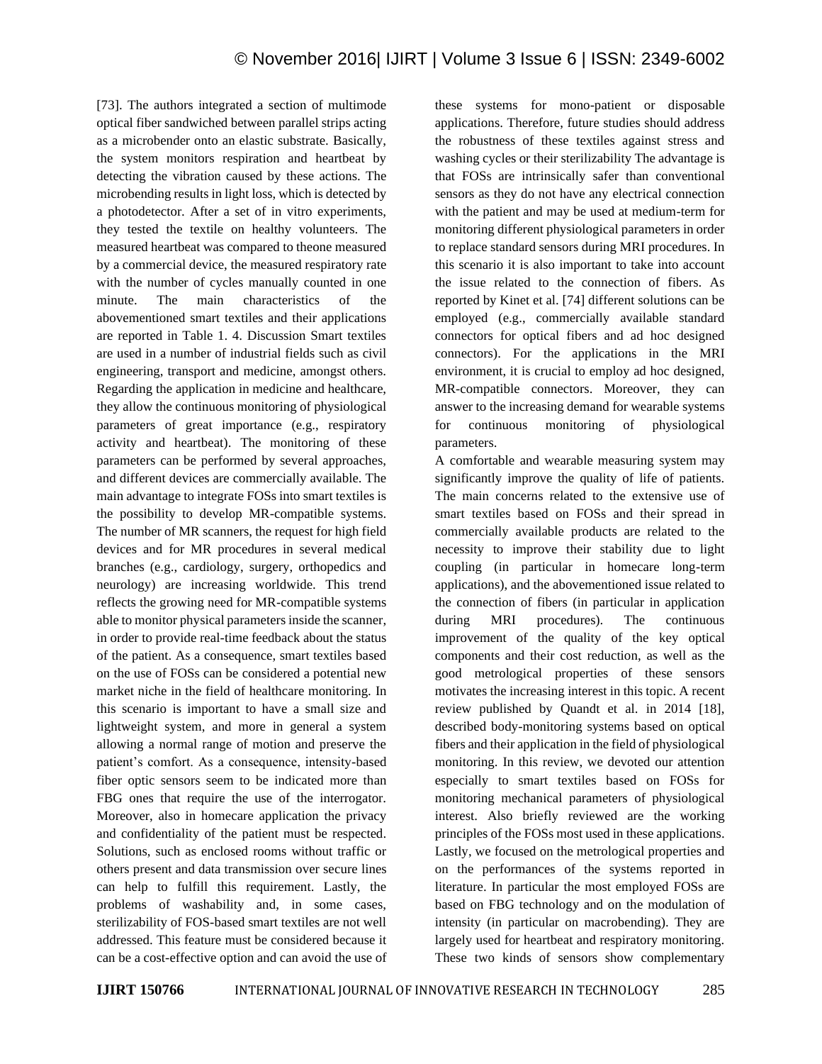[73]. The authors integrated a section of multimode optical fiber sandwiched between parallel strips acting as a microbender onto an elastic substrate. Basically, the system monitors respiration and heartbeat by detecting the vibration caused by these actions. The microbending results in light loss, which is detected by a photodetector. After a set of in vitro experiments, they tested the textile on healthy volunteers. The measured heartbeat was compared to theone measured by a commercial device, the measured respiratory rate with the number of cycles manually counted in one minute. The main characteristics of the abovementioned smart textiles and their applications are reported in Table 1. 4. Discussion Smart textiles are used in a number of industrial fields such as civil engineering, transport and medicine, amongst others. Regarding the application in medicine and healthcare, they allow the continuous monitoring of physiological parameters of great importance (e.g., respiratory activity and heartbeat). The monitoring of these parameters can be performed by several approaches, and different devices are commercially available. The main advantage to integrate FOSs into smart textiles is the possibility to develop MR-compatible systems. The number of MR scanners, the request for high field devices and for MR procedures in several medical branches (e.g., cardiology, surgery, orthopedics and neurology) are increasing worldwide. This trend reflects the growing need for MR-compatible systems able to monitor physical parameters inside the scanner, in order to provide real-time feedback about the status of the patient. As a consequence, smart textiles based on the use of FOSs can be considered a potential new market niche in the field of healthcare monitoring. In this scenario is important to have a small size and lightweight system, and more in general a system allowing a normal range of motion and preserve the patient's comfort. As a consequence, intensity-based fiber optic sensors seem to be indicated more than FBG ones that require the use of the interrogator. Moreover, also in homecare application the privacy and confidentiality of the patient must be respected. Solutions, such as enclosed rooms without traffic or others present and data transmission over secure lines can help to fulfill this requirement. Lastly, the problems of washability and, in some cases, sterilizability of FOS-based smart textiles are not well addressed. This feature must be considered because it can be a cost-effective option and can avoid the use of these systems for mono-patient or disposable applications. Therefore, future studies should address the robustness of these textiles against stress and washing cycles or their sterilizability The advantage is that FOSs are intrinsically safer than conventional sensors as they do not have any electrical connection with the patient and may be used at medium-term for monitoring different physiological parameters in order to replace standard sensors during MRI procedures. In this scenario it is also important to take into account the issue related to the connection of fibers. As reported by Kinet et al. [74] different solutions can be employed (e.g., commercially available standard connectors for optical fibers and ad hoc designed connectors). For the applications in the MRI environment, it is crucial to employ ad hoc designed, MR-compatible connectors. Moreover, they can answer to the increasing demand for wearable systems for continuous monitoring of physiological parameters.

A comfortable and wearable measuring system may significantly improve the quality of life of patients. The main concerns related to the extensive use of smart textiles based on FOSs and their spread in commercially available products are related to the necessity to improve their stability due to light coupling (in particular in homecare long-term applications), and the abovementioned issue related to the connection of fibers (in particular in application during MRI procedures). The continuous improvement of the quality of the key optical components and their cost reduction, as well as the good metrological properties of these sensors motivates the increasing interest in this topic. A recent review published by Quandt et al. in 2014 [18], described body-monitoring systems based on optical fibers and their application in the field of physiological monitoring. In this review, we devoted our attention especially to smart textiles based on FOSs for monitoring mechanical parameters of physiological interest. Also briefly reviewed are the working principles of the FOSs most used in these applications. Lastly, we focused on the metrological properties and on the performances of the systems reported in literature. In particular the most employed FOSs are based on FBG technology and on the modulation of intensity (in particular on macrobending). They are largely used for heartbeat and respiratory monitoring. These two kinds of sensors show complementary